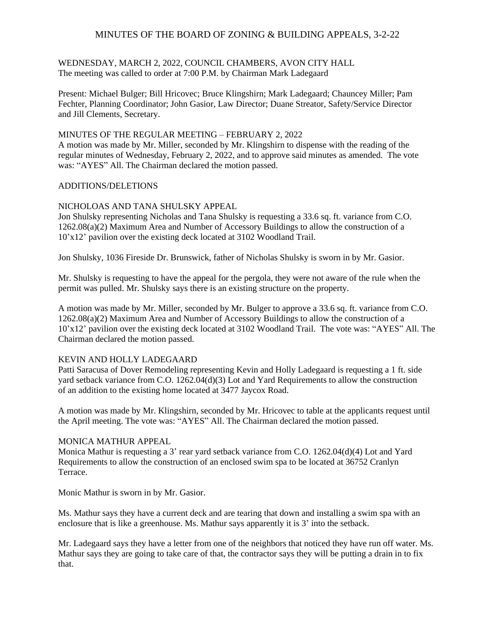## MINUTES OF THE BOARD OF ZONING & BUILDING APPEALS, 3-2-22

#### WEDNESDAY, MARCH 2, 2022, COUNCIL CHAMBERS, AVON CITY HALL The meeting was called to order at 7:00 P.M. by Chairman Mark Ladegaard

Present: Michael Bulger; Bill Hricovec; Bruce Klingshirn; Mark Ladegaard; Chauncey Miller; Pam Fechter, Planning Coordinator; John Gasior, Law Director; Duane Streator, Safety/Service Director and Jill Clements, Secretary.

## MINUTES OF THE REGULAR MEETING – FEBRUARY 2, 2022

A motion was made by Mr. Miller, seconded by Mr. Klingshirn to dispense with the reading of the regular minutes of Wednesday, February 2, 2022, and to approve said minutes as amended. The vote was: "AYES" All. The Chairman declared the motion passed.

### ADDITIONS/DELETIONS

### NICHOLOAS AND TANA SHULSKY APPEAL

Jon Shulsky representing Nicholas and Tana Shulsky is requesting a 33.6 sq. ft. variance from C.O. 1262.08(a)(2) Maximum Area and Number of Accessory Buildings to allow the construction of a 10'x12' pavilion over the existing deck located at 3102 Woodland Trail.

Jon Shulsky, 1036 Fireside Dr. Brunswick, father of Nicholas Shulsky is sworn in by Mr. Gasior.

Mr. Shulsky is requesting to have the appeal for the pergola, they were not aware of the rule when the permit was pulled. Mr. Shulsky says there is an existing structure on the property.

A motion was made by Mr. Miller, seconded by Mr. Bulger to approve a 33.6 sq. ft. variance from C.O. 1262.08(a)(2) Maximum Area and Number of Accessory Buildings to allow the construction of a 10'x12' pavilion over the existing deck located at 3102 Woodland Trail. The vote was: "AYES" All. The Chairman declared the motion passed.

### KEVIN AND HOLLY LADEGAARD

Patti Saracusa of Dover Remodeling representing Kevin and Holly Ladegaard is requesting a 1 ft. side yard setback variance from C.O. 1262.04(d)(3) Lot and Yard Requirements to allow the construction of an addition to the existing home located at 3477 Jaycox Road.

A motion was made by Mr. Klingshirn, seconded by Mr. Hricovec to table at the applicants request until the April meeting. The vote was: "AYES" All. The Chairman declared the motion passed.

#### MONICA MATHUR APPEAL

Monica Mathur is requesting a 3' rear yard setback variance from C.O. 1262.04(d)(4) Lot and Yard Requirements to allow the construction of an enclosed swim spa to be located at 36752 Cranlyn Terrace.

Monic Mathur is sworn in by Mr. Gasior.

Ms. Mathur says they have a current deck and are tearing that down and installing a swim spa with an enclosure that is like a greenhouse. Ms. Mathur says apparently it is 3' into the setback.

Mr. Ladegaard says they have a letter from one of the neighbors that noticed they have run off water. Ms. Mathur says they are going to take care of that, the contractor says they will be putting a drain in to fix that.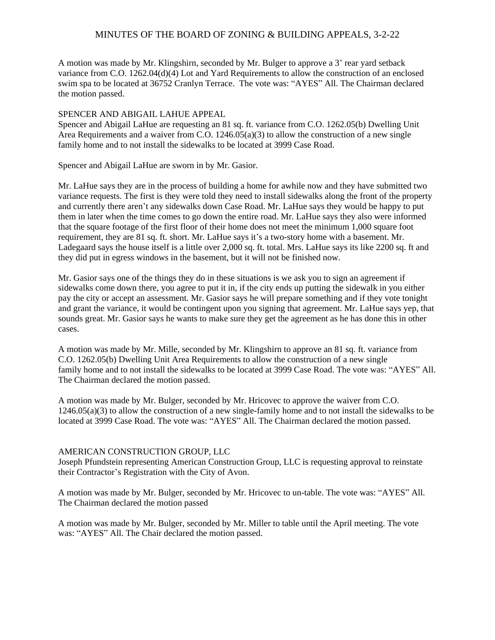# MINUTES OF THE BOARD OF ZONING & BUILDING APPEALS, 3-2-22

A motion was made by Mr. Klingshirn, seconded by Mr. Bulger to approve a 3' rear yard setback variance from C.O. 1262.04(d)(4) Lot and Yard Requirements to allow the construction of an enclosed swim spa to be located at 36752 Cranlyn Terrace. The vote was: "AYES" All. The Chairman declared the motion passed.

### SPENCER AND ABIGAIL LAHUE APPEAL

Spencer and Abigail LaHue are requesting an 81 sq. ft. variance from C.O. 1262.05(b) Dwelling Unit Area Requirements and a waiver from C.O. 1246.05(a)(3) to allow the construction of a new single family home and to not install the sidewalks to be located at 3999 Case Road.

Spencer and Abigail LaHue are sworn in by Mr. Gasior.

Mr. LaHue says they are in the process of building a home for awhile now and they have submitted two variance requests. The first is they were told they need to install sidewalks along the front of the property and currently there aren't any sidewalks down Case Road. Mr. LaHue says they would be happy to put them in later when the time comes to go down the entire road. Mr. LaHue says they also were informed that the square footage of the first floor of their home does not meet the minimum 1,000 square foot requirement, they are 81 sq. ft. short. Mr. LaHue says it's a two-story home with a basement. Mr. Ladegaard says the house itself is a little over 2,000 sq. ft. total. Mrs. LaHue says its like 2200 sq. ft and they did put in egress windows in the basement, but it will not be finished now.

Mr. Gasior says one of the things they do in these situations is we ask you to sign an agreement if sidewalks come down there, you agree to put it in, if the city ends up putting the sidewalk in you either pay the city or accept an assessment. Mr. Gasior says he will prepare something and if they vote tonight and grant the variance, it would be contingent upon you signing that agreement. Mr. LaHue says yep, that sounds great. Mr. Gasior says he wants to make sure they get the agreement as he has done this in other cases.

A motion was made by Mr. Mille, seconded by Mr. Klingshirn to approve an 81 sq. ft. variance from C.O. 1262.05(b) Dwelling Unit Area Requirements to allow the construction of a new single family home and to not install the sidewalks to be located at 3999 Case Road. The vote was: "AYES" All. The Chairman declared the motion passed.

A motion was made by Mr. Bulger, seconded by Mr. Hricovec to approve the waiver from C.O. 1246.05(a)(3) to allow the construction of a new single-family home and to not install the sidewalks to be located at 3999 Case Road. The vote was: "AYES" All. The Chairman declared the motion passed.

#### AMERICAN CONSTRUCTION GROUP, LLC

Joseph Pfundstein representing American Construction Group, LLC is requesting approval to reinstate their Contractor's Registration with the City of Avon.

A motion was made by Mr. Bulger, seconded by Mr. Hricovec to un-table. The vote was: "AYES" All. The Chairman declared the motion passed

A motion was made by Mr. Bulger, seconded by Mr. Miller to table until the April meeting. The vote was: "AYES" All. The Chair declared the motion passed.